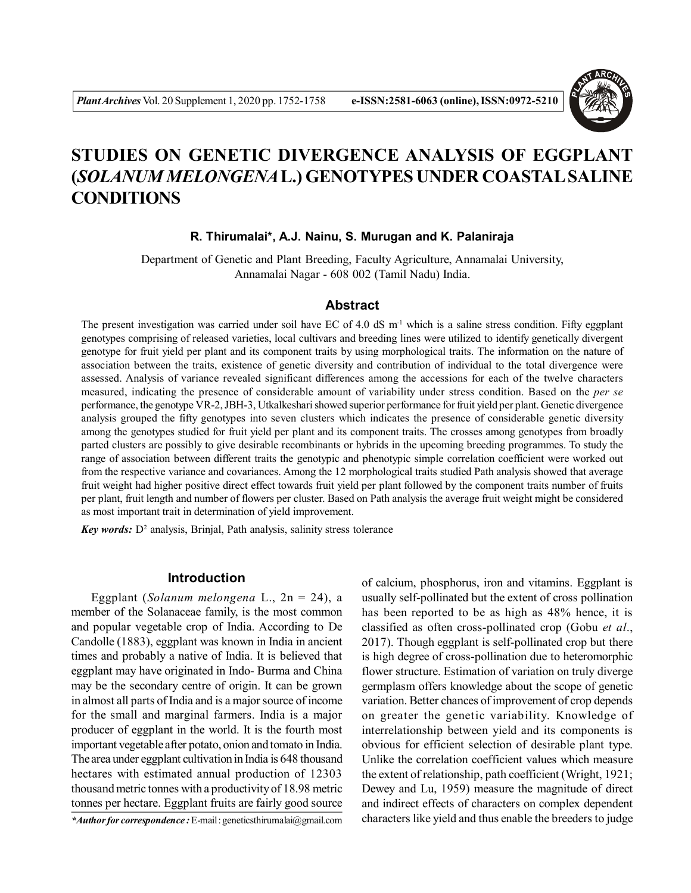

# **STUDIES ON GENETIC DIVERGENCE ANALYSIS OF EGGPLANT (***SOLANUM MELONGENA***L.) GENOTYPES UNDER COASTAL SALINE CONDITIONS**

# **R. Thirumalai\*, A.J. Nainu, S. Murugan and K. Palaniraja**

Department of Genetic and Plant Breeding, Faculty Agriculture, Annamalai University, Annamalai Nagar - 608 002 (Tamil Nadu) India.

### **Abstract**

The present investigation was carried under soil have EC of 4.0 dS  $m<sup>-1</sup>$  which is a saline stress condition. Fifty eggplant genotypes comprising of released varieties, local cultivars and breeding lines were utilized to identify genetically divergent genotype for fruit yield per plant and its component traits by using morphological traits. The information on the nature of association between the traits, existence of genetic diversity and contribution of individual to the total divergence were assessed. Analysis of variance revealed significant differences among the accessions for each of the twelve characters measured, indicating the presence of considerable amount of variability under stress condition. Based on the *per se* performance, the genotype VR-2, JBH-3, Utkalkeshari showed superior performance for fruit yield per plant. Genetic divergence analysis grouped the fifty genotypes into seven clusters which indicates the presence of considerable genetic diversity among the genotypes studied for fruit yield per plant and its component traits. The crosses among genotypes from broadly parted clusters are possibly to give desirable recombinants or hybrids in the upcoming breeding programmes. To study the range of association between different traits the genotypic and phenotypic simple correlation coefficient were worked out from the respective variance and covariances. Among the 12 morphological traits studied Path analysis showed that average fruit weight had higher positive direct effect towards fruit yield per plant followed by the component traits number of fruits per plant, fruit length and number of flowers per cluster. Based on Path analysis the average fruit weight might be considered as most important trait in determination of yield improvement.

Key words: D<sup>2</sup> analysis, Brinjal, Path analysis, salinity stress tolerance

### **Introduction**

Eggplant (*Solanum melongena* L., 2n = 24), a member of the Solanaceae family, is the most common and popular vegetable crop of India. According to De Candolle (1883), eggplant was known in India in ancient times and probably a native of India. It is believed that eggplant may have originated in Indo- Burma and China may be the secondary centre of origin. It can be grown in almost all parts of India and is a major source of income for the small and marginal farmers. India is a major producer of eggplant in the world. It is the fourth most important vegetable after potato, onion and tomato in India. The area under eggplant cultivation in India is 648 thousand hectares with estimated annual production of 12303 thousand metric tonnes with a productivity of 18.98 metric tonnes per hectare. Eggplant fruits are fairly good source

*\*Author for correspondence :* E-mail : geneticsthirumalai@gmail.com

of calcium, phosphorus, iron and vitamins. Eggplant is usually self-pollinated but the extent of cross pollination has been reported to be as high as 48% hence, it is classified as often cross-pollinated crop (Gobu *et al*., 2017). Though eggplant is self-pollinated crop but there is high degree of cross-pollination due to heteromorphic flower structure. Estimation of variation on truly diverge germplasm offers knowledge about the scope of genetic variation. Better chances of improvement of crop depends on greater the genetic variability. Knowledge of interrelationship between yield and its components is obvious for efficient selection of desirable plant type. Unlike the correlation coefficient values which measure the extent of relationship, path coefficient (Wright, 1921; Dewey and Lu, 1959) measure the magnitude of direct and indirect effects of characters on complex dependent characters like yield and thus enable the breeders to judge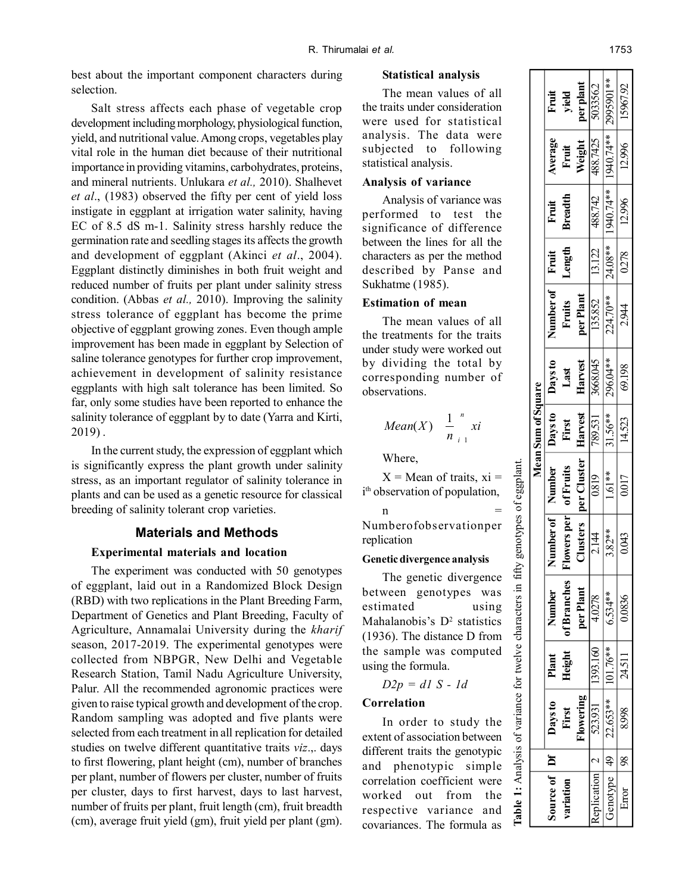best about the important component characters during selection.

Salt stress affects each phase of vegetable crop development including morphology, physiological function, yield, and nutritional value. Among crops, vegetables play vital role in the human diet because of their nutritional importance in providing vitamins, carbohydrates, proteins, and mineral nutrients. Unlukara *et al.,* 2010). Shalhevet *et al*., (1983) observed the fifty per cent of yield loss instigate in eggplant at irrigation water salinity, having EC of 8.5 dS m-1. Salinity stress harshly reduce the germination rate and seedling stages its affects the growth and development of eggplant (Akinci *et al*., 2004). Eggplant distinctly diminishes in both fruit weight and reduced number of fruits per plant under salinity stress condition. (Abbas *et al.,* 2010). Improving the salinity stress tolerance of eggplant has become the prime objective of eggplant growing zones. Even though ample improvement has been made in eggplant by Selection of saline tolerance genotypes for further crop improvement, achievement in development of salinity resistance eggplants with high salt tolerance has been limited. So far, only some studies have been reported to enhance the salinity tolerance of eggplant by to date (Yarra and Kirti, 2019) .

In the current study, the expression of eggplant which is significantly express the plant growth under salinity stress, as an important regulator of salinity tolerance in plants and can be used as a genetic resource for classical breeding of salinity tolerant crop varieties.

# **Materials and Methods**

#### **Experimental materials and location**

The experiment was conducted with 50 genotypes of eggplant, laid out in a Randomized Block Design (RBD) with two replications in the Plant Breeding Farm, Department of Genetics and Plant Breeding, Faculty of Agriculture, Annamalai University during the *kharif* season, 2017-2019. The experimental genotypes were collected from NBPGR, New Delhi and Vegetable Research Station, Tamil Nadu Agriculture University, Palur. All the recommended agronomic practices were given to raise typical growth and development of the crop. Random sampling was adopted and five plants were selected from each treatment in all replication for detailed studies on twelve different quantitative traits *viz*.,. days to first flowering, plant height (cm), number of branches per plant, number of flowers per cluster, number of fruits per cluster, days to first harvest, days to last harvest, number of fruits per plant, fruit length (cm), fruit breadth (cm), average fruit yield (gm), fruit yield per plant (gm).

# **Statistical analysis**

The mean values of all the traits under consideration were used for statistical analysis. The data were subjected to following statistical analysis.

#### **Analysis of variance**

Analysis of variance was performed to test the significance of difference between the lines for all the characters as per the method described by Panse and Sukhatme (1985).

# **Estimation of mean**

The mean values of all the treatments for the traits under study were worked out by dividing the total by corresponding number of observations.

$$
Mean(X) \quad \frac{1}{n} \int_{i=1}^{n} x i
$$

Where,

 $X = Mean$  of traits,  $xi =$ i th observation of population,

 $n =$ Numberofobservationper replication

#### **Genetic divergence analysis**

The genetic divergence between genotypes was estimated using Mahalanobis's  $D^2$  statistics (1936). The distance D from the sample was computed using the formula.

**Table 1:** Analysis of variance for twelve characters in fifty genotypes of eggplant.

variance

 $\mathfrak{g}$ 

for twelve characters

genotypes of eggplant

fifty; 묘.

*D2p = d1 S - 1d*

# **Correlation**

In order to study the extent of association between Table 1: Analysis different traits the genotypic and phenotypic simple correlation coefficient were worked out from the respective variance and covariances. The formula as

|                                                |                   |          |             |             |                    | Mean Sum of Square        |          |                 |                          |                                                                                                              |        |            |
|------------------------------------------------|-------------------|----------|-------------|-------------|--------------------|---------------------------|----------|-----------------|--------------------------|--------------------------------------------------------------------------------------------------------------|--------|------------|
| $\frac{1}{2}$ ource of $\frac{1}{2}$ Df        | <b>Days to</b>    | Plant    | Number      | Number of 1 | Number             | Days to                   | Days to  | Number of Fruit |                          | Fruit                                                                                                        | verage | Fruit      |
| ariation                                       | First             | Height   | of Branches | lowers per  | of Fruits          | First                     | Last     | Fruits          | Length                   | <b>Breadth</b>                                                                                               | Fruit  | yield      |
|                                                | lowering          |          | per Plant   | Clusters    | ner Cluster        | Harvest                   | Harvest  | per Plant       |                          |                                                                                                              | Weight | er plant   |
| $p$ lication $\begin{vmatrix} 2 \end{vmatrix}$ | 523.931           | 1393.160 | 4.0278      | 2.144       | $\overline{0.819}$ | $\frac{789.531}{31.56**}$ | 3668.045 | 135.852         | $\frac{13.122}{24.08**}$ |                                                                                                              |        | 503356.2   |
| $j$ enotype $  49  $                           | 22.653** 101.76** |          | $6.534***$  | $3.82**$    | $1.61**$           |                           |          | $224.70***$     |                          | $\begin{array}{ c c c }\n\hline\n488.742 & 488.7425 \\ \hline\n1940.74** & 1940.74** \\ \hline\n\end{array}$ |        | 2995901 ** |
| Error                                          | 8.998             | 24.511   | 0.0836      | 0.043       | 0.017              | 14.523                    | 69.198   | 2.944           | 0.278                    | 12.996                                                                                                       | 12.996 | 5967.92    |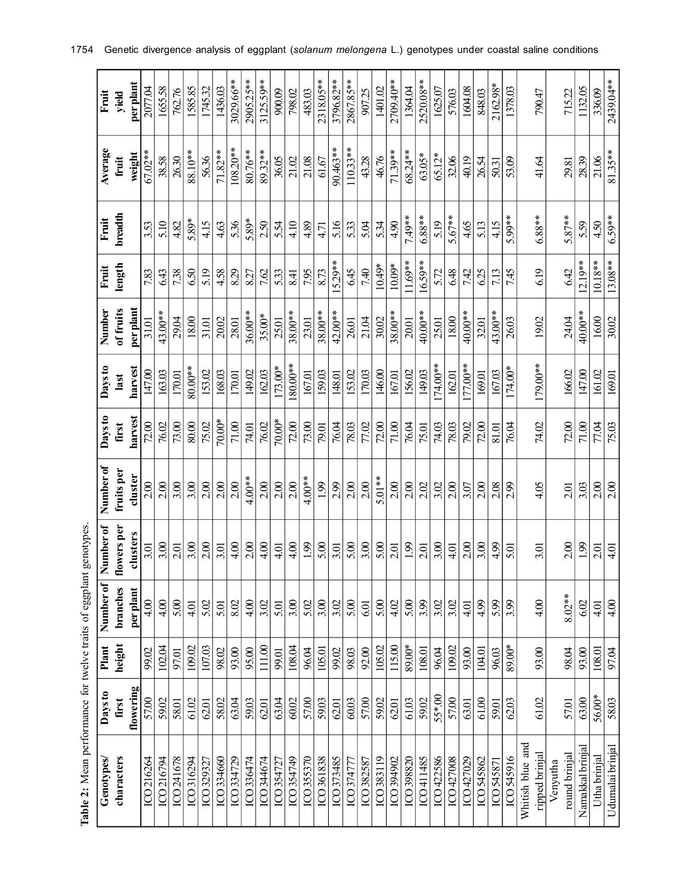| Genotypes        | Days to   | Plant  | Number of | Number of   | Number of  | Days to | Days to    | Number    | Fruit     | Fruit    | Average    | Fruit     |
|------------------|-----------|--------|-----------|-------------|------------|---------|------------|-----------|-----------|----------|------------|-----------|
| characters       | first     | height | branches  | flowers per | fruits per | first   | last       | of fruits | length    | breadth  | fruit      | yield     |
|                  | flowering |        | per plant | clusters    | cluster    | harvest | harvest    | perplant  |           |          | weight     | per plant |
| ICO 216264       | 57.00     | 99.02  | 4.00      | 3.01        | 2.00       | 72.00   | 147.00     | 31.01     | 7.83      | 3.53     | 67.02**    | 2077.04   |
| ICO 216794       | 59.02     | 102.04 | 4.00      | 3.00        | 2.00       | 76.02   | 163.03     | $43.00**$ | 643       | 5.10     | 38.58      | 1655.58   |
| ICO 241678       | 58.01     | 97.01  | 5.00      | 2.01        | 3.00       | 73.00   | 170.01     | 29.04     | 738       | 4.82     | 26.30      | 762.76    |
| ICO 316294       | 61.02     | 109.02 | 4.01      | 3.00        | 3.00       | $80.00$ | $80.00**$  | 18.00     | 650       | 5.89*    | 88.10**    | 1585.85   |
| ICO 329327       | 62.01     | 107.03 | 5.02      | 2.00        | 2.00       | 75.02   | 153.02     | 31.01     | 5.19      | 4.15     | 56.36      | 1745.32   |
| ICO 334660       | 58.02     | 98.02  | 5.01      | 3.01        | 2.00       | 70.00*  | 168.03     | 20.02     | 4.58      | 4.63     | $71.82**$  | 1436.03   |
| ICO 334729       | 63.04     | 93.00  | 8.02      | 4.00        | 2.00       | 71.00   | 170.01     | 28.01     | 8.29      | 5.36     | $108.20**$ | 3029.66** |
| ICO 336474       | 59.03     | 95.00  | 4.00      | 2.00        | $4.00**$   | 74.01   | 149.02     | 36.00**   | 827       | 5.89*    | 80.76**    | 2905.25** |
| ICO 344674       | 62.01     | 111.00 | 3.02      | 4.00        | 2.00       | 76.02   | 162.03     | 35.00*    | 7.62      | 2.50     | 89.32**    | 3125.59** |
| ICO 354727       | 63.04     | 99.01  | 5.01      | 4.01        | 2.00       | 70.00*  | $173.00*$  | 25.01     | 533       | 5.54     | 36.05      | 900.09    |
| ICO 354749       | 60.02     | 108.04 | 3.00      | 4.00        | 2.00       | 72.00   | $80.00**$  | 38.00**   | 8.41      | 4.10     | 21.02      | 798.02    |
| ICO 355370       | 57.00     | 96.04  | 5.02      | 1.99        | 4.00**     | 73.00   | 167.01     | 23.01     | 7.95      | 4.89     | 21.08      | 483.03    |
| ICO 361838       | 59.03     | 105.01 | 3.00      | 5.00        | 1.99       | 79.01   | 159.03     | 38.00**   | 8.73      | 471      | 61.67      | 2318.05** |
| ICO 373485       | 62.01     | 99.02  | 3.02      | 3.01        | 2.99       | 76.04   | 148.01     | 42.00**   | $15.29**$ | 5.16     | 90.463*    | 3796.82** |
| ICO 374777       | 60.03     | 98.03  | 5.00      | 5.00        | 2.00       | 78.03   | 153.02     | 26.01     | 645       | 533      | $10.33**$  | 2867.85** |
| ICO 382587       | 57.00     | 92.00  | 6.01      | 3.00        | 2.00       | 77.02   | 170.03     | 21.04     | 7.40      | 5.04     | 43.28      | 907.25    |
| ICO 383119       | 59.02     | 105.02 | 5.00      | 5.00        | $5.01***$  | 72.00   | 146.00     | 30.02     | 10.49*    | 534      | 46.76      | 1401.02   |
| ICO 394902       | 62.01     | 115.00 | 4.02      | 2.01        | 2.00       | 71.00   | 167.01     | 38.00**   | 10.09*    | 4.90     | 71.39**    | 2709.40** |
| ICO 398820       | 61.03     | 89.00* | 5.00      | 1.99        | 2.00       | 76.04   | 156.02     | 20.01     | 11.69**   | 7.49**   | 68.24**    | 1364.04   |
| ICO 411485       | 59.02     | 108.01 | 3.99      | 2.01        | 2.02       | 75.01   | 149.03     | 40.00**   | $16.59**$ | $6.88**$ | 63.05*     | 2520.08** |
| ICO 422586       | 55*00     | 96.04  | 3.02      | 3.00        | 3.02       | 74.03   | $174.00**$ | 25.01     | 5.72      | 5.19     | 65.12*     | 1625.07   |
| ICO 427008       | 57.00     | 109.02 | 3.02      | 4.01        | 2.00       | 78.03   | 162.01     | 18.00     | 648       | 5.67**   | 32.06      | 576.03    |
| ICO 427029       | 63.01     | 93.00  | 4.01      | 2.00        | 3.07       | 79.02   | 177.00**   | $40.00**$ | 7.42      | 4.65     | 40.19      | 1604.08   |
| ICO 545862       | 61.00     | 104.01 | 4.99      | 3.00        | 2.00       | 72.00   | 169.01     | 32.01     | 625       | 5.13     | 26.54      | 848.03    |
| ICO 545871       | 59.01     | 96.03  | 5.99      | 4.99        | 2.08       | 81.01   | 167.03     | 43.00**   | 7.13      | 4.15     | 50.31      | 2162.98*  |
| ICO 545916       | 62.03     | 89.00* | 3.99      | 5.01        | 2.99       | 76.04   | 174.00*    | 26.03     | 7.45      | 5.99**   | 53.09      | 1378.03   |
| Whitish blue and |           |        |           |             |            |         |            |           |           |          |            |           |
| ripped brinjal   | 61.02     | 93.00  | 4.00      | 3.01        | 4.05       | 74.02   | 179.00**   | 19.02     | 6.19      | $6.88**$ | 41.64      | 790.47    |
| Venyutha         |           |        |           |             |            |         |            |           |           |          |            |           |
| round brinjal    | 57.01     | 98.04  | 8.02**    | 2.00        | 2.01       | 72.00   | 166.02     | 24.04     | 642       | 5.87**   | 29.81      | 715.22    |
| Namakkal brinjal | 63.00     | 93.00  | 6.02      | 1.99        | 3.03       | 71.00   | 147.00     | $40.00**$ | $12.19**$ | 5.59     | 28.39      | 1132.05   |
| Utha brinjal     | 56.00*    | 108.01 | 4.01      | 2.01        | 2.00       | 77.04   | 161.02     | 16.00     | 10.18**   | 4.50     | 21.06      | 336.09    |
| Udumalai brinjal | 58.03     | 97.04  | 4.00      | 4.01        | 2.00       | 75.03   | 169.01     | 30.02     | 13.08**   | $6.59**$ | 81.35**    | 2439.04** |

Table 2: Mean performance for twelve traits of eggplant genotypes. **Table 2:** Mean performance for twelve traits of eggplant genotypes.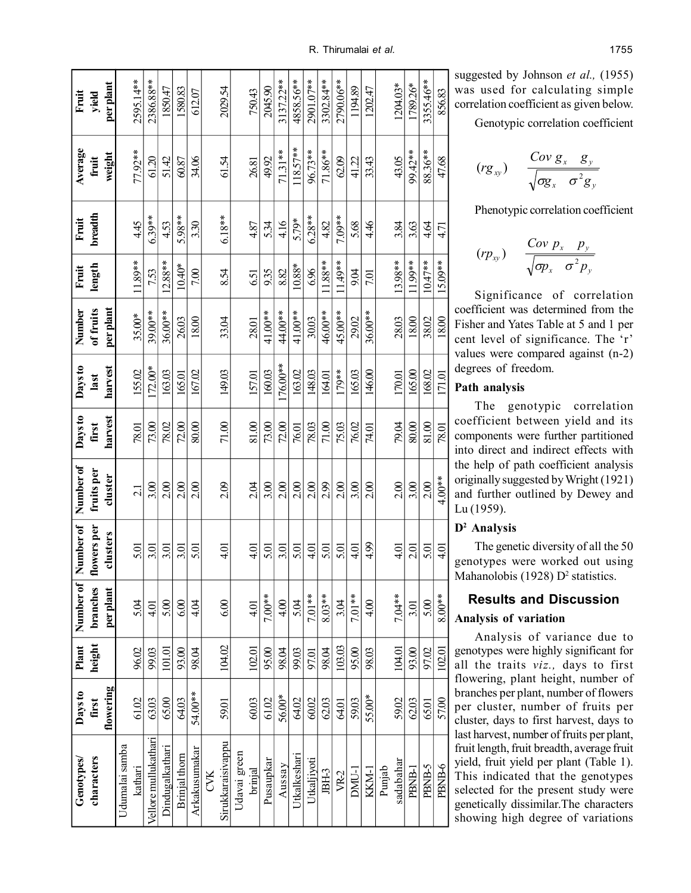| Genotypes/           | Days to   | Plant  | Number of | Number of   | Number of       | Days to | Days to   | Number    | Fruit     | Fruit    | Average    | Fruit     |
|----------------------|-----------|--------|-----------|-------------|-----------------|---------|-----------|-----------|-----------|----------|------------|-----------|
| characters           | first     | height | branches  | flowers per | fruits per      | first   | last      | of fruits | length    | breadth  | fruit      | yield     |
|                      | flowering |        | per plant | clusters    | cluster         | harvest | harvest   | per plant |           |          | weight     | per plant |
| Udumalai samba       |           |        |           |             |                 |         |           |           |           |          |            |           |
| kathari              | 61.02     | 96.02  | 5.04      | 5.01        | $\overline{21}$ | 78.01   | 155.02    | 35.00*    | $189**$   | 445      | 77.92**    | 2595.14** |
| Vellore mullukathari | 63.03     | 99.03  | 4.01      | 3.01        | 3.00            | 73.00   | $172.00*$ | 39.00**   | 7.53      | $6.39**$ | 61.20      | 2386.88** |
| Dindugalkathari      | 65.00     | 101.01 | 5.00      | 3.01        | 2.00            | 78.02   | 163.03    | 36.00**   | $2.88**$  | 453      | 51.42      | 1850.47   |
| Brinjal thorn        | 64.03     | 93.00  | 6.00      | 3.01        | 2.00            | 72.00   | 165.01    | 26.03     | $10.40*$  | 5.98**   | 60.87      | 1580.83   |
| Arkakusumakar        | 54.00**   | 98.04  | 4.04      | 5.01        | 2.00            | 80.00   | 167.02    | 18.00     | 7.00      | 3.30     | 34.06      | 612.07    |
| CVK                  |           |        |           |             |                 |         |           |           |           |          |            |           |
| Sirukkaraisivappu    | 59.01     | 104.02 | 6.00      | 4.01        | 2.09            | 71.00   | 149.03    | 33.04     | 8.54      | $6.18**$ | 61.54      | 2029.54   |
| Udavai green         |           |        |           |             |                 |         |           |           |           |          |            |           |
| brinjal              | 60.03     | 102.01 | 4.01      | 4.01        | 204             | 81.00   | 157.01    | 28.01     | 651       | 4.87     | 26.81      | 750.43    |
| Pusaupkar            | 61.02     | 95.00  | 7.00**    | 5.01        | 3.00            | 73.00   | 160.03    | 41.00**   | 935       | 534      | 49.92      | 2045.90   |
| Aussay               | 56.00*    | 98.04  | 4.00      | 3.01        | 2.00            | 72.00   | 76.00**   | 44.00**   | 8.82      | 4.16     | $71.31**$  | 3137.22** |
| Utkalkeshari         | 64.02     | 99.03  | 5.04      | 5.01        | 2.00            | 76.01   | 163.02    | 41.00**   | $10.88*$  | 5.79*    | $118.57**$ | 4858.56** |
| Utkaljiyoti          | 60.02     | 97.01  | 7.01**    | 4.01        | 2.00            | 78.03   | 148.03    | 30.03     | 696       | $6.28**$ | 96.73**    | 2901.07** |
| JBH-3                | 62.03     | 98.04  | $8.03***$ | 5.01        | 2.99            | $71.00$ | 164.01    | 46.00**   | $1.88**$  | 4.82     | 71.86**    | 3302.84** |
| VR-2                 | 64.01     | 103.03 | 3.04      | 5.01        | 2.00            | 75.03   | 179**     | 45.00**   | $1.49**$  | 7.09**   | 62.09      | 2790.06** |
| DMU-1                | 59.03     | 95.00  | 7.01**    | 401         | 3.00            | 76.02   | 165.03    | 29.02     | 9.04      | 5.68     | 41.22      | 1194.89   |
| KKM-I                | 55.00*    | 98.03  | 4.00      | 4.99        | 2.00            | 74.01   | 146.00    | 36.00**   | 7.01      | 4.46     | 33.43      | 1202.47   |
| Punjab               |           |        |           |             |                 |         |           |           |           |          |            |           |
| sadabahar            | 59.02     | 104.01 | 7.04**    | 4.01        | 2.00            | 79.04   | 170.01    | 28.03     | 13.98**   | 3.84     | 43.05      | 1204.03*  |
| <b>PBNB-1</b>        | 62.03     | 93.00  | 3.01      | 2.01        | 3.00            | 80.00   | 165.00    | 18.00     | $1.99**$  | 3.63     | 99.42**    | 1789.26*  |
| PBNB-5               | 65.01     | 97.02  | 5.00      | 5.01        | 2.00            | 81.00   | 168.02    | 38.02     | $10.47**$ | 4.64     | 88.36**    | 3355.46** |
| PBNB-6               | 57.00     | 102.01 | $8.00**$  | 4.01        | $4.00**$        | 78.01   | 171.01    | 18.00     | 15.09**   | 4.71     | 47.68      | 856.83    |

Genotypic correlation coefficient

$$
(rg_{xy}) \quad \frac{Cov\,g_x\quad g_y}{\sqrt{\sigma g_x\quad \sigma^2 g_y}}
$$

Phenotypic correlation coefficient

$$
(rp_{xy}) \quad \frac{Cov \ p_x \ p_y}{\sqrt{\sigma p_x \ \sigma^2 p_y}}
$$

Significance of correlation coefficient was determined from the Fisher and Yates Table at 5 and 1 per cent level of significance. The 'r' values were compared against (n-2) degrees of freedom.

# **Path analysis**

The genotypic correlation coefficient between yield and its components were further partitioned into direct and indirect effects with the help of path coefficient analysis originally suggested by Wright (1921) and further outlined by Dewey and Lu (1959).

# **D2 Analysis**

The genetic diversity of all the 50 genotypes were worked out using Mahanolobis (1928) D<sup>2</sup> statistics.

# **Results and Discussion Analysis of variation**

Analysis of variance due to genotypes were highly significant for all the traits *viz.,* days to first flowering, plant height, number of branches per plant, number of flowers per cluster, number of fruits per cluster, days to first harvest, days to last harvest, number of fruits per plant, fruit length, fruit breadth, average fruit yield, fruit yield per plant (Table 1). This indicated that the genotypes selected for the present study were genetically dissimilar.The characters showing high degree of variations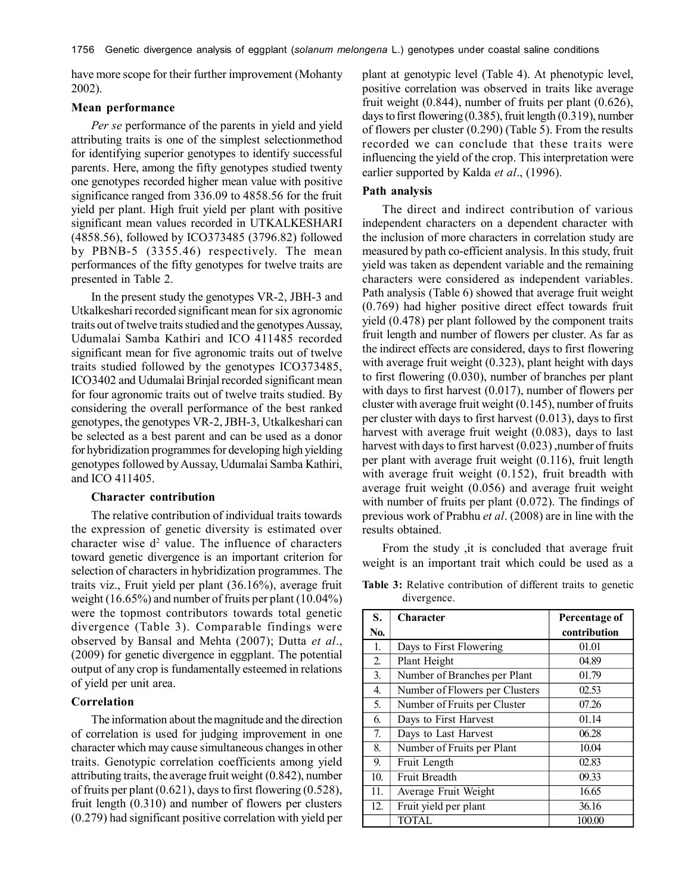have more scope for their further improvement (Mohanty 2002).

# **Mean performance**

*Per se* performance of the parents in yield and yield attributing traits is one of the simplest selectionmethod for identifying superior genotypes to identify successful parents. Here, among the fifty genotypes studied twenty one genotypes recorded higher mean value with positive significance ranged from 336.09 to 4858.56 for the fruit yield per plant. High fruit yield per plant with positive significant mean values recorded in UTKALKESHARI (4858.56), followed by ICO373485 (3796.82) followed by PBNB-5 (3355.46) respectively. The mean performances of the fifty genotypes for twelve traits are presented in Table 2.

In the present study the genotypes VR-2, JBH-3 and Utkalkeshari recorded significant mean for six agronomic traits out of twelve traits studied and the genotypes Aussay, Udumalai Samba Kathiri and ICO 411485 recorded significant mean for five agronomic traits out of twelve traits studied followed by the genotypes ICO373485, ICO3402 and Udumalai Brinjal recorded significant mean for four agronomic traits out of twelve traits studied. By considering the overall performance of the best ranked genotypes, the genotypes VR-2, JBH-3, Utkalkeshari can be selected as a best parent and can be used as a donor for hybridization programmes for developing high yielding genotypes followed by Aussay, Udumalai Samba Kathiri, and ICO 411405.

#### **Character contribution**

The relative contribution of individual traits towards the expression of genetic diversity is estimated over character wise  $d^2$  value. The influence of characters toward genetic divergence is an important criterion for selection of characters in hybridization programmes. The traits viz., Fruit yield per plant (36.16%), average fruit weight (16.65%) and number of fruits per plant (10.04%) were the topmost contributors towards total genetic divergence (Table 3). Comparable findings were observed by Bansal and Mehta (2007); Dutta *et al*., (2009) for genetic divergence in eggplant. The potential output of any crop is fundamentally esteemed in relations of yield per unit area.

#### **Correlation**

The information about the magnitude and the direction of correlation is used for judging improvement in one character which may cause simultaneous changes in other traits. Genotypic correlation coefficients among yield attributing traits, the average fruit weight (0.842), number of fruits per plant (0.621), days to first flowering (0.528), fruit length (0.310) and number of flowers per clusters (0.279) had significant positive correlation with yield per

plant at genotypic level (Table 4). At phenotypic level, positive correlation was observed in traits like average fruit weight (0.844), number of fruits per plant (0.626), days to first flowering (0.385), fruit length (0.319), number of flowers per cluster (0.290) (Table 5). From the results recorded we can conclude that these traits were influencing the yield of the crop. This interpretation were earlier supported by Kalda *et al*., (1996).

### **Path analysis**

The direct and indirect contribution of various independent characters on a dependent character with the inclusion of more characters in correlation study are measured by path co-efficient analysis. In this study, fruit yield was taken as dependent variable and the remaining characters were considered as independent variables. Path analysis (Table 6) showed that average fruit weight (0.769) had higher positive direct effect towards fruit yield (0.478) per plant followed by the component traits fruit length and number of flowers per cluster. As far as the indirect effects are considered, days to first flowering with average fruit weight (0.323), plant height with days to first flowering (0.030), number of branches per plant with days to first harvest (0.017), number of flowers per cluster with average fruit weight (0.145), number of fruits per cluster with days to first harvest (0.013), days to first harvest with average fruit weight (0.083), days to last harvest with days to first harvest (0.023), number of fruits per plant with average fruit weight (0.116), fruit length with average fruit weight (0.152), fruit breadth with average fruit weight (0.056) and average fruit weight with number of fruits per plant (0.072). The findings of previous work of Prabhu *et al*. (2008) are in line with the results obtained.

From the study ,it is concluded that average fruit weight is an important trait which could be used as a

**S. Character Percentage of No. contribution** 1. Days to First Flowering 01.01 2. Plant Height 04.89 3. Number of Branches per Plant 01.79 4. Number of Flowers per Clusters 02.53 5. Number of Fruits per Cluster 07.26 6. Days to First Harvest 01.14 7. Days to Last Harvest 06.28 8. Number of Fruits per Plant 10.04 9. Fruit Length 02.83 10. Fruit Breadth 09.33 11. Average Fruit Weight 16.65

12. Fruit yield per plant 36.16 TOTAL 100.00

**Table 3:** Relative contribution of different traits to genetic divergence.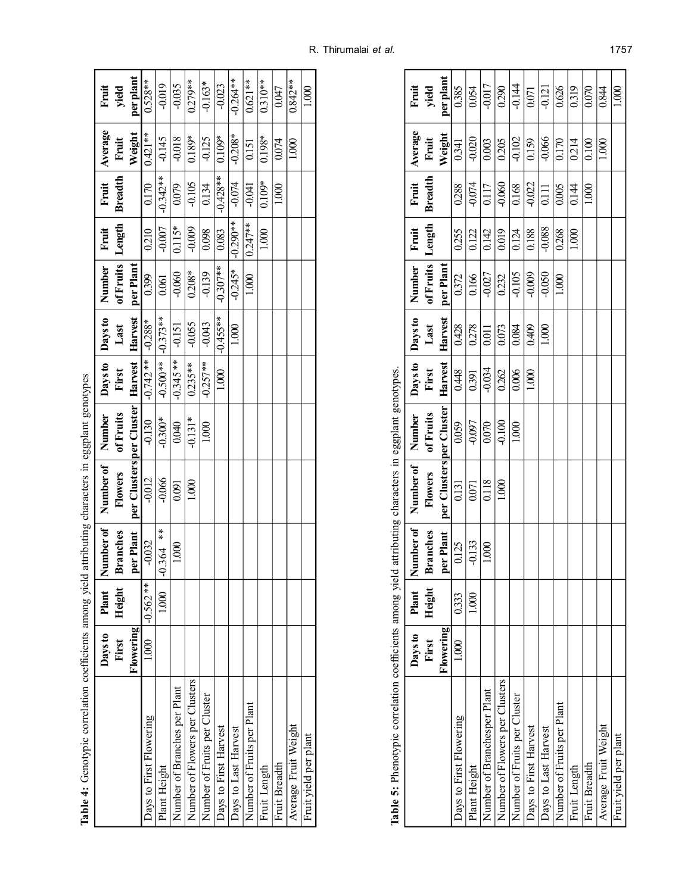| $-499$                                                                               |  |
|--------------------------------------------------------------------------------------|--|
|                                                                                      |  |
|                                                                                      |  |
|                                                                                      |  |
|                                                                                      |  |
| $\sim$ $\sim$ $\sim$ $\sim$ $\sim$                                                   |  |
|                                                                                      |  |
| tymic correlation coeffolents among vield affributing characters in economicat cenot |  |
| į<br>$\frac{1}{2}$                                                                   |  |
| $\frac{1}{2}$<br>ູ<br>Ĺ<br>Ē                                                         |  |

| Table 4: Genotypic correlation coefficients among yield |           |            |                 | attributing characters in eggplant genotypes |           |                         |            |                  |            |                |           |            |
|---------------------------------------------------------|-----------|------------|-----------------|----------------------------------------------|-----------|-------------------------|------------|------------------|------------|----------------|-----------|------------|
|                                                         | Days to   | Plant      |                 | Number of   Number of   Number               |           | Days to Days to         |            | Number<br>1      | Fruit      | Fruit          | Average   | Fruit      |
|                                                         | First     | Height     | <b>Branches</b> | Flowers                                      | of Fruits | First                   | Last       | of Fruits Length |            | <b>Breadth</b> | Fruit     | yield      |
|                                                         | Flowering |            | per Plant       | per Clusters per Cluster                     |           | Harvest Harvest         |            | per Plant        |            |                | Weight    | per plant  |
| Days to First Flowering                                 | 1.000     | $-0.562**$ | $-0.032$        | $-0.012$                                     | $-0.130$  | $-0.742**$              | $-0.288*$  | 0.399            | 0.210      | 0.170          | $0.421**$ | $0.528**$  |
| Plant Height                                            |           | 1.000      | $-0.364$ **     | $-0.066$                                     | $-0.300*$ | $-0.500**$   $-0.373**$ |            | 0.061            | $-0.007$   | $-0.342**$     | $-0.145$  | $-0.019$   |
| Number of Branches per Plant                            |           |            | 1.000           | 0.091                                        | 0.040     | $-0.345**$              | $-0.151$   | $-0.060$         | $0.115*$   | 0.079          | $-0.018$  | $-0.035$   |
| Number of Flowers per Clusters                          |           |            |                 | 1.000                                        | $-0.131*$ | $0.235***$              | $-0.055$   | $0.208*$         | $-0.009$   | $-0.105$       | $0.189*$  | $0.279**$  |
| Number of Fruits per Cluster                            |           |            |                 |                                              | 1.000     | $-0.257**$              | $-0.043$   | $-0.139$         | 0.098      | 0.134          | $-0.125$  | $-0.163*$  |
| Days to First Harvest                                   |           |            |                 |                                              |           | 1.000                   | $-0.455**$ | $-0.307**$       | 0.083      | $-0.428**$     | $0.109*$  | $-0.023$   |
| Days to Last Harvest                                    |           |            |                 |                                              |           |                         | 1.000      | $-0.245*$        | $-0.290**$ | $-0.074$       | $-0.208*$ | $-0.264**$ |
| Number of Fruits per Plant                              |           |            |                 |                                              |           |                         |            | 1.000            | $0.247**$  | $-0.041$       | 0.151     | $0.621**$  |
| Fruit Length                                            |           |            |                 |                                              |           |                         |            |                  | 1.000      | $0.109*$       | $0.198*$  | $0.310***$ |
| Fruit Breadth                                           |           |            |                 |                                              |           |                         |            |                  |            | 1.000          | 0.074     | 0.047      |
| Average Fruit Weight                                    |           |            |                 |                                              |           |                         |            |                  |            |                | 1.000     | $0.842**$  |
| Fruit yield per plant                                   |           |            |                 |                                              |           |                         |            |                  |            |                |           | 1.000      |

| ֧֚֚֚֚֚֚֚֚֚֚֚֚֚֚֚֚֚֚֡֡֜֡֜֡֜֓֡֡֓֡֡     |
|--------------------------------------|
| it that all all at an unio<br>ŏ<br>ĺ |
|                                      |
|                                      |
| )<br>ļ<br>$-11$                      |
|                                      |
| האת היא היא די די<br>j               |
| Contractor<br>i                      |
| いく さんきん くうしょう                        |
| $\overline{\phantom{a}}$<br>İ<br>l   |
| Tabl.                                |

|                                |           | j      |                 | )                              | $\mathbf{C}$<br>$\frac{1}{2}$ | $\frac{1}{2}$   |         |                    |          |                |               |                |
|--------------------------------|-----------|--------|-----------------|--------------------------------|-------------------------------|-----------------|---------|--------------------|----------|----------------|---------------|----------------|
|                                | Days to   | Plant  |                 | Number of   Number of   Number |                               | Days to Days to |         | Number   Fruit     |          |                | Fruit Average |                |
|                                | First     | Height | <b>Branches</b> | Flowers                        | of Fruits                     | First           | Last    | of Fruits   Length |          | <b>Breadth</b> | Fruit         | Fruit<br>yield |
|                                | Flowering |        | per Plant       | per Clusters per Cluster       |                               | Harvest         | Harvest | per Plant          |          |                | Weight        | per plant      |
| Days to First Flowering        | 1.000     | 0.333  | 0.125           | 0.131                          | 0.059                         | 0.448           | 0.428   | 0.372              | 0.255    | 0.288          | 0.341         | 0.385          |
| Plant Height                   |           | 1,000  | $-0.133$        | 0.071                          | $-0.097$                      | 0.391           | 0278    | 0.166              | 0.122    | $-0.074$       | $-0.020$      | 0.054          |
| Number of Branchesper Plant    |           |        | 1.000           | 0.118                          | $0.070$                       | $-0.034$        | 0.011   | $-0.027$           | 0.142    | 0.117          | 0.003         | -0.017         |
| Number of Flowers per Clusters |           |        |                 | 1.000                          | $-0.100$                      | 0.262           | 0.073   | 0.232              | 0.019    | $-0.060$       | 0.205         | 0.290          |
| Number of Fruits per Cluster   |           |        |                 |                                | 1.000                         | 0.006           | 0.084   | $-0.105$           | 0.124    | 0.168          | $-0.102$      | $-0.144$       |
| Days to First Harvest          |           |        |                 |                                |                               | 1.000           | 0.409   | $-0.009$           | 0.188    | $-0.022$       | 0.159         | 0.071          |
| Days to Last Harvest           |           |        |                 |                                |                               |                 | 1.000   | $-0.050$           | $-0.088$ | 0.111          | $-0.066$      | $-0.121$       |
| Number of Fruits per Plant     |           |        |                 |                                |                               |                 |         | 1.000              | 0.268    | 0.005          | 0.170         | 0.626          |
| Fruit Length                   |           |        |                 |                                |                               |                 |         |                    | 000      | 0.144          | 0.214         | 0.319          |
| Fruit Breadth                  |           |        |                 |                                |                               |                 |         |                    |          | 1.000          | 0.100         | 0.070          |
| Average Fruit Weight           |           |        |                 |                                |                               |                 |         |                    |          |                | 1.000         | 0.844          |
| Fruit yield per plant          |           |        |                 |                                |                               |                 |         |                    |          |                |               | 1.000          |